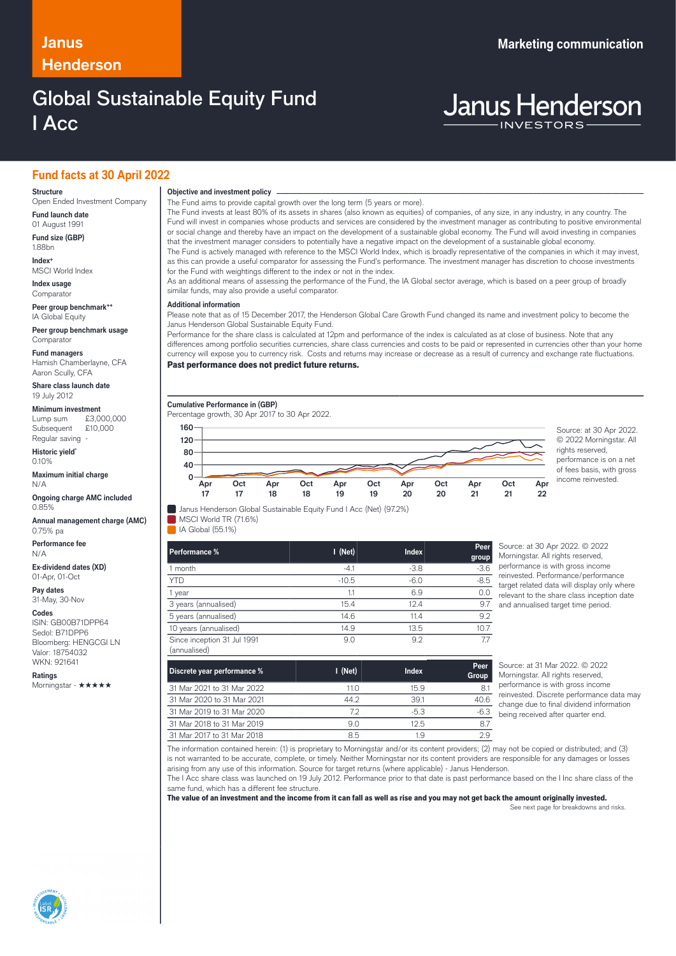### **Janus Marketing communication Henderson**

## Global Sustainable Equity Fund I Acc

# **Janus Henderson**

### **Fund facts at 30 April 2022**

### **Structure**

Open Ended Investment Company **Fund launch date**

01 August 1991

**Fund size (GBP)** 1.88bn **Index+**

MSCI World Index

**Index usage Comparator** 

**Peer group benchmark++** IA Global Equity

**Peer group benchmark usage Comparator** 

**Fund managers**

Hamish Chamberlayne, CFA Aaron Scully, CFA

**Share class launch date** 19 July 2012

**Minimum investment**

Lump sum £3,000,000 Subsequent £10,000 Regular saving

**Historic yield\*** 0.10%

**Maximum initial charge** N/A

**Ongoing charge AMC included** 0.85%

**Annual management charge (AMC)** 0.75% pa

**Performance fee** N/A

**Ex-dividend dates (XD)** 01-Apr, 01-Oct

**Pay dates** 31-May, 30-Nov

**Codes**

ISIN: GB00B71DPP64 Sedol: B71DPP6 Bloomberg: HENGCGI LN Valor: 18754032 WKN: 921641

**Ratings**

Morningstar - ★★★★★

### **Objective and investment policy** ────────────────────────────────────────────────────────────────────────────────────────────────────────────────────────────────────────────────────────────────────────────────────────────────────────────────────────────────────────────────────────────────────────────────────────────────────────────────────────────────────────────────────────────────────────────────────────────────────────────────────────────────────────────────────────────────────────────────────────────────────────────────────

The Fund aims to provide capital growth over the long term (5 years or more).

The Fund invests at least 80% of its assets in shares (also known as equities) of companies, of any size, in any industry, in any country. The Fund will invest in companies whose products and services are considered by the investment manager as contributing to positive environmental or social change and thereby have an impact on the development of a sustainable global economy. The Fund will avoid investing in companies that the investment manager considers to potentially have a negative impact on the development of a sustainable global economy. The Fund is actively managed with reference to the MSCI World Index, which is broadly representative of the companies in which it may invest, as this can provide a useful comparator for assessing the Fund's performance. The investment manager has discretion to choose investments for the Fund with weightings different to the index or not in the index.

As an additional means of assessing the performance of the Fund, the IA Global sector average, which is based on a peer group of broadly similar funds, may also provide a useful comparator.

#### **Additional information**

Please note that as of 15 December 2017, the Henderson Global Care Growth Fund changed its name and investment policy to become the Janus Henderson Global Sustainable Equity Fund.

Performance for the share class is calculated at 12pm and performance of the index is calculated as at close of business. Note that any differences among portfolio securities currencies, share class currencies and costs to be paid or represented in currencies other than your home currency will expose you to currency risk. Costs and returns may increase or decrease as a result of currency and exchange rate fluctuations. Past performance does not predict future returns.

**Cumulative Performance in (GBP)**



© 2022 Morningstar. All rights reserved, performance is on a net of fees basis, with gross income reinvested.

Janus Henderson Global Sustainable Equity Fund I Acc (Net) (97.2%)

**MSCI World TR (71.6%)** IA Global (55.1%)

| Performance %                               | $I$ (Net) | Index  | Peer<br>group | Source: at 30 Apr 2022. C 2022<br>Morningstar. All rights reserved,                                                                                                                   |
|---------------------------------------------|-----------|--------|---------------|---------------------------------------------------------------------------------------------------------------------------------------------------------------------------------------|
| I month                                     | $-4.1$    | $-3.8$ | $-3.6$        | performance is with gross income<br>reinvested. Performance/perform<br>target related data will display on<br>relevant to the share class incept<br>and annualised target time period |
| <b>YTD</b>                                  | $-10.5$   | $-6.0$ | $-8.5$        |                                                                                                                                                                                       |
| 1 year                                      |           | 6.9    | 0.0           |                                                                                                                                                                                       |
| 3 years (annualised)                        | 15.4      | 12.4   | 9.7           |                                                                                                                                                                                       |
| 5 years (annualised)                        | 14.6      | 11.4   | 9.2           |                                                                                                                                                                                       |
| 10 years (annualised)                       | 14.9      | 13.5   | 10.7          |                                                                                                                                                                                       |
| Since inception 31 Jul 1991<br>(annualised) | 9.0       | 9.2    |               |                                                                                                                                                                                       |

orningstar. All rights reserved performance is with gross income invested. Performance/performance rget related data will display only where levant to the share class inception date d annualised target time period.

| Discrete year performance % | $I$ (Net) | <b>Index</b> | Peer<br>Group |
|-----------------------------|-----------|--------------|---------------|
| 31 Mar 2021 to 31 Mar 2022  | 11.0      | 15.9         | 8.1           |
| 31 Mar 2020 to 31 Mar 2021  | 44.2      | 39.1         | 40.6          |
| 31 Mar 2019 to 31 Mar 2020  | 7.2       | $-5.3$       | $-6.3$        |
| 31 Mar 2018 to 31 Mar 2019  | 9.0       | 125          | 8.7           |
| 31 Mar 2017 to 31 Mar 2018  | 8.5       | 1.9          | 2.9           |

Source: at 31 Mar 2022. © 2022 Morningstar. All rights reserved, performance is with gross income reinvested. Discrete performance data may change due to final dividend information being received after quarter end.

The information contained herein: (1) is proprietary to Morningstar and/or its content providers; (2) may not be copied or distributed; and (3) is not warranted to be accurate, complete, or timely. Neither Morningstar nor its content providers are responsible for any damages or losses arising from any use of this information. Source for target returns (where applicable) - Janus Henderson.

The I Acc share class was launched on 19 July 2012. Performance prior to that date is past performance based on the I Inc share class of the same fund, which has a different fee structure.

The value of an investment and the income from it can fall as well as rise and you may not get back the amount originally invested.

See next page for breakdowns and risks.